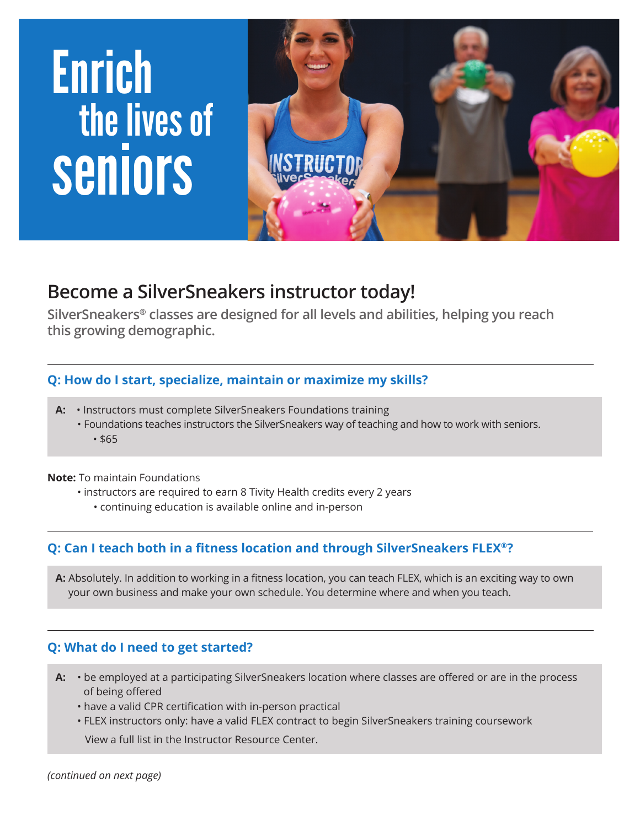# Enrich the lives of seniors



## **Become a SilverSneakers instructor today!**

**SilverSneakers® classes are designed for all levels and abilities, helping you reach this growing demographic.**

#### **Q: How do I start, specialize, maintain or maximize my skills?**

- **A:** Instructors must complete SilverSneakers Foundations training
	- Foundations teaches instructors the SilverSneakers way of teaching and how to work with seniors. • \$65

**Note:** To maintain Foundations

l

- instructors are required to earn 8 Tivity Health credits every 2 years
	- continuing education is available online and in-person

#### **Q: Can I teach both in a fitness location and through SilverSneakers FLEX®?**

 **A:** Absolutely. In addition to working in a fitness location, you can teach FLEX, which is an exciting way to own your own business and make your own schedule. You determine where and when you teach.

#### **Q: What do I need to get started?**

- **A:** be employed at a participating SilverSneakers location where classes are offered or are in the process of being offered
	- have a valid CPR certification with in-person practical
	- FLEX instructors only: have a valid FLEX contract to begin SilverSneakers training coursework

View a full list in the Instructor Resource Center.